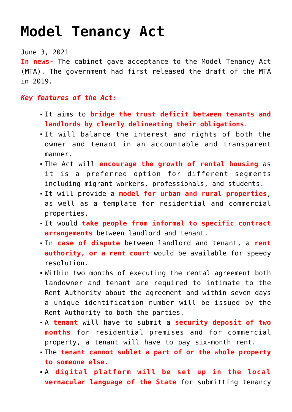## **[Model Tenancy Act](https://journalsofindia.com/model-tenancy-act/)**

June 3, 2021

**In news-** The cabinet gave acceptance to the Model Tenancy Act (MTA). The government had first released the draft of the MTA in 2019.

## *Key features of the Act:*

- It aims to **bridge the trust deficit between tenants and landlords by clearly delineating their obligations**.
- It will balance the interest and rights of both the owner and tenant in an accountable and transparent manner.
- The Act will **encourage the growth of rental housing** as it is a preferred option for different segments including migrant workers, professionals, and students.
- It will provide a **model for urban and rural properties**, as well as a template for residential and commercial properties.
- It would **take people from informal to specific contract arrangements** between landlord and tenant.
- In **case of dispute** between landlord and tenant, a **rent authority, or a rent court** would be available for speedy resolution.
- Within two months of executing the rental agreement both landowner and tenant are required to intimate to the Rent Authority about the agreement and within seven days a unique identification number will be issued by the Rent Authority to both the parties.
- A **tenant** will have to submit a **security deposit of two months** for residential premises and for commercial property, a tenant will have to pay six-month rent.
- The **tenant cannot sublet a part of or the whole property to someone else.**
- A **digital platform will be set up in the local vernacular language of the State** for submitting tenancy